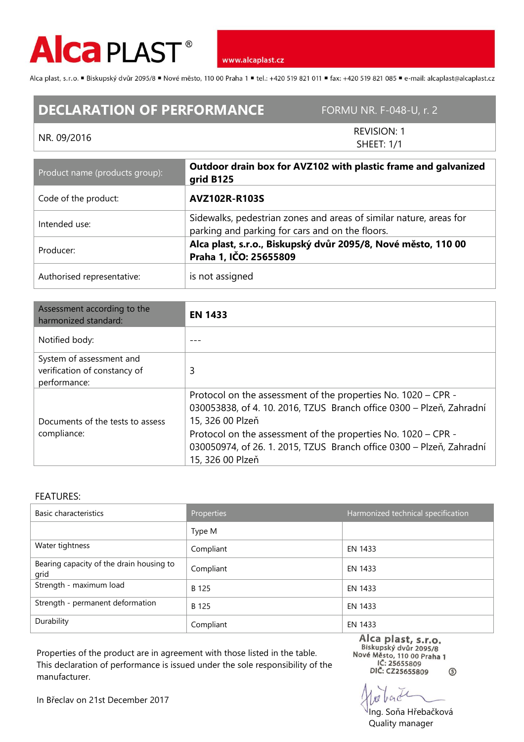

www.alcaplast.cz

Alca plast, s.r.o. ■ Biskupský dvůr 2095/8 ■ Nové město, 110 00 Praha 1 ■ tel.: +420 519 821 011 ■ fax: +420 519 821 085 ■ e-mail: alcaplast@alcaplast.cz

## **DECLARATION OF PERFORMANCE** FORMU NR. F-048-U, r. 2

## NR. 09/2016

REVISION: 1 SHEET: 1/1

| Product name (products group): | Outdoor drain box for AVZ102 with plastic frame and galvanized<br>grid B125                                           |  |
|--------------------------------|-----------------------------------------------------------------------------------------------------------------------|--|
| Code of the product:           | <b>AVZ102R-R103S</b>                                                                                                  |  |
| Intended use:                  | Sidewalks, pedestrian zones and areas of similar nature, areas for<br>parking and parking for cars and on the floors. |  |
| Producer:                      | Alca plast, s.r.o., Biskupský dvůr 2095/8, Nové město, 110 00<br>Praha 1, IČO: 25655809                               |  |
| Authorised representative:     | is not assigned                                                                                                       |  |

| Assessment according to the<br>harmonized standard:                      | <b>EN 1433</b>                                                                                                                                            |  |
|--------------------------------------------------------------------------|-----------------------------------------------------------------------------------------------------------------------------------------------------------|--|
| Notified body:                                                           |                                                                                                                                                           |  |
| System of assessment and<br>verification of constancy of<br>performance: | 3                                                                                                                                                         |  |
| Documents of the tests to assess<br>compliance:                          | Protocol on the assessment of the properties No. 1020 – CPR -<br>030053838, of 4.10.2016, TZUS Branch office 0300 - Plzeň, Zahradní<br>15, 326 00 Plzeň   |  |
|                                                                          | Protocol on the assessment of the properties No. 1020 – CPR -<br>030050974, of 26. 1. 2015, TZUS Branch office 0300 - Plzeň, Zahradní<br>15, 326 00 Plzeň |  |

## FEATURES:

| Basic characteristics                            | <b>Properties</b> | Harmonized technical specification |
|--------------------------------------------------|-------------------|------------------------------------|
|                                                  | Type M            |                                    |
| Water tightness                                  | Compliant         | EN 1433                            |
| Bearing capacity of the drain housing to<br>grid | Compliant         | EN 1433                            |
| Strength - maximum load                          | B 125             | EN 1433                            |
| Strength - permanent deformation                 | B 125             | EN 1433                            |
| Durability                                       | Compliant         | EN 1433                            |

Properties of the product are in agreement with those listed in the table. This declaration of performance is issued under the sole responsibility of the manufacturer.

Alca plast, s.r.o.<br>Biskupský dvůr 2095/8 Nové Město, 110 00 Praha 1 IČ: 25655809 DIČ: CZ25655809  $\circledS$ 

Ing. Soňa Hřebačková Quality manager

In Břeclav on 21st December 2017